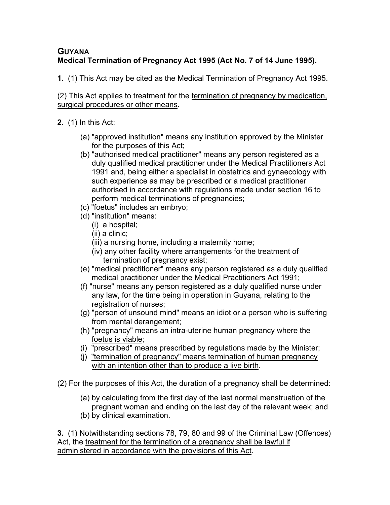# **GUYANA Medical Termination of Pregnancy Act 1995 (Act No. 7 of 14 June 1995).**

**1.** (1) This Act may be cited as the Medical Termination of Pregnancy Act 1995.

(2) This Act applies to treatment for the termination of pregnancy by medication, surgical procedures or other means.

- **2.** (1) In this Act:
	- (a) "approved institution" means any institution approved by the Minister for the purposes of this Act;
	- (b) "authorised medical practitioner" means any person registered as a duly qualified medical practitioner under the Medical Practitioners Act 1991 and, being either a specialist in obstetrics and gynaecology with such experience as may be prescribed or a medical practitioner authorised in accordance with regulations made under section 16 to perform medical terminations of pregnancies;
	- (c) "foetus" includes an embryo;
	- (d) "institution" means:
		- (i) a hospital;
		- (ii) a clinic;
		- (iii) a nursing home, including a maternity home;
		- (iv) any other facility where arrangements for the treatment of termination of pregnancy exist;
	- (e) "medical practitioner" means any person registered as a duly qualified medical practitioner under the Medical Practitioners Act 1991;
	- (f) "nurse" means any person registered as a duly qualified nurse under any law, for the time being in operation in Guyana, relating to the registration of nurses;
	- (g) "person of unsound mind" means an idiot or a person who is suffering from mental derangement;
	- (h) "pregnancy" means an intra-uterine human pregnancy where the foetus is viable;
	- (i) "prescribed" means prescribed by regulations made by the Minister;
	- (j) "termination of pregnancy" means termination of human pregnancy with an intention other than to produce a live birth.
- (2) For the purposes of this Act, the duration of a pregnancy shall be determined:
	- (a) by calculating from the first day of the last normal menstruation of the pregnant woman and ending on the last day of the relevant week; and
	- (b) by clinical examination.

**3.** (1) Notwithstanding sections 78, 79, 80 and 99 of the Criminal Law (Offences) Act, the treatment for the termination of a pregnancy shall be lawful if administered in accordance with the provisions of this Act.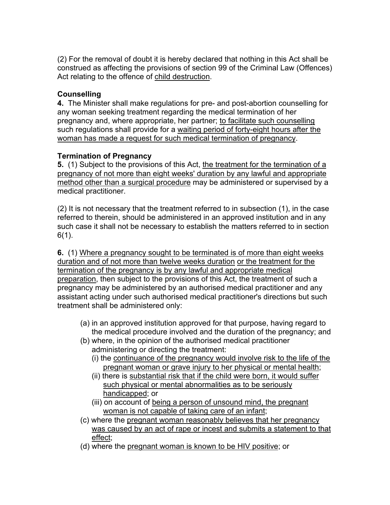(2) For the removal of doubt it is hereby declared that nothing in this Act shall be construed as affecting the provisions of section 99 of the Criminal Law (Offences) Act relating to the offence of child destruction.

## **Counselling**

**4.** The Minister shall make regulations for pre- and post-abortion counselling for any woman seeking treatment regarding the medical termination of her pregnancy and, where appropriate, her partner; to facilitate such counselling such regulations shall provide for a waiting period of forty-eight hours after the woman has made a request for such medical termination of pregnancy.

# **Termination of Pregnancy**

**5.** (1) Subject to the provisions of this Act, the treatment for the termination of a pregnancy of not more than eight weeks' duration by any lawful and appropriate method other than a surgical procedure may be administered or supervised by a medical practitioner.

(2) It is not necessary that the treatment referred to in subsection (1), in the case referred to therein, should be administered in an approved institution and in any such case it shall not be necessary to establish the matters referred to in section 6(1).

**6.** (1) Where a pregnancy sought to be terminated is of more than eight weeks duration and of not more than twelve weeks duration or the treatment for the termination of the pregnancy is by any lawful and appropriate medical preparation, then subject to the provisions of this Act, the treatment of such a pregnancy may be administered by an authorised medical practitioner and any assistant acting under such authorised medical practitioner's directions but such treatment shall be administered only:

- (a) in an approved institution approved for that purpose, having regard to the medical procedure involved and the duration of the pregnancy; and
- (b) where, in the opinion of the authorised medical practitioner administering or directing the treatment:
	- (i) the continuance of the pregnancy would involve risk to the life of the pregnant woman or grave injury to her physical or mental health;
	- (ii) there is substantial risk that if the child were born, it would suffer such physical or mental abnormalities as to be seriously handicapped; or
	- (iii) on account of being a person of unsound mind, the pregnant woman is not capable of taking care of an infant;
- (c) where the pregnant woman reasonably believes that her pregnancy was caused by an act of rape or incest and submits a statement to that effect;
- (d) where the pregnant woman is known to be HIV positive; or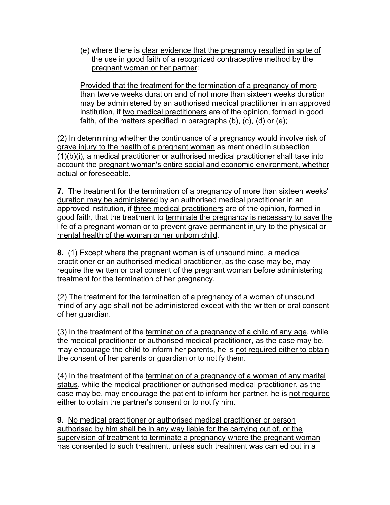(e) where there is clear evidence that the pregnancy resulted in spite of the use in good faith of a recognized contraceptive method by the pregnant woman or her partner:

Provided that the treatment for the termination of a pregnancy of more than twelve weeks duration and of not more than sixteen weeks duration may be administered by an authorised medical practitioner in an approved institution, if two medical practitioners are of the opinion, formed in good faith, of the matters specified in paragraphs (b), (c), (d) or (e);

(2) In determining whether the continuance of a pregnancy would involve risk of grave injury to the health of a pregnant woman as mentioned in subsection (1)(b)(i), a medical practitioner or authorised medical practitioner shall take into account the pregnant woman's entire social and economic environment, whether actual or foreseeable.

**7.** The treatment for the termination of a pregnancy of more than sixteen weeks' duration may be administered by an authorised medical practitioner in an approved institution, if three medical practitioners are of the opinion, formed in good faith, that the treatment to terminate the pregnancy is necessary to save the life of a pregnant woman or to prevent grave permanent injury to the physical or mental health of the woman or her unborn child.

**8.** (1) Except where the pregnant woman is of unsound mind, a medical practitioner or an authorised medical practitioner, as the case may be, may require the written or oral consent of the pregnant woman before administering treatment for the termination of her pregnancy.

(2) The treatment for the termination of a pregnancy of a woman of unsound mind of any age shall not be administered except with the written or oral consent of her guardian.

(3) In the treatment of the termination of a pregnancy of a child of any age, while the medical practitioner or authorised medical practitioner, as the case may be, may encourage the child to inform her parents, he is not required either to obtain the consent of her parents or guardian or to notify them.

(4) In the treatment of the termination of a pregnancy of a woman of any marital status, while the medical practitioner or authorised medical practitioner, as the case may be, may encourage the patient to inform her partner, he is not required either to obtain the partner's consent or to notify him.

**9.** No medical practitioner or authorised medical practitioner or person authorised by him shall be in any way liable for the carrying out of, or the supervision of treatment to terminate a pregnancy where the pregnant woman has consented to such treatment, unless such treatment was carried out in a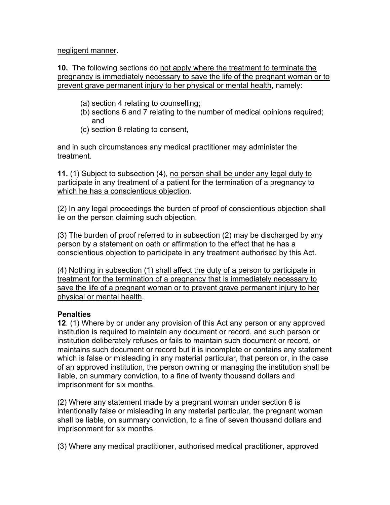negligent manner.

**10.** The following sections do not apply where the treatment to terminate the pregnancy is immediately necessary to save the life of the pregnant woman or to prevent grave permanent injury to her physical or mental health, namely:

- (a) section 4 relating to counselling;
- (b) sections 6 and 7 relating to the number of medical opinions required; and
- (c) section 8 relating to consent,

and in such circumstances any medical practitioner may administer the treatment.

**11.** (1) Subject to subsection (4), no person shall be under any legal duty to participate in any treatment of a patient for the termination of a pregnancy to which he has a conscientious objection.

(2) In any legal proceedings the burden of proof of conscientious objection shall lie on the person claiming such objection.

(3) The burden of proof referred to in subsection (2) may be discharged by any person by a statement on oath or affirmation to the effect that he has a conscientious objection to participate in any treatment authorised by this Act.

(4) Nothing in subsection (1) shall affect the duty of a person to participate in treatment for the termination of a pregnancy that is immediately necessary to save the life of a pregnant woman or to prevent grave permanent injury to her physical or mental health.

## **Penalties**

**12**. (1) Where by or under any provision of this Act any person or any approved institution is required to maintain any document or record, and such person or institution deliberately refuses or fails to maintain such document or record, or maintains such document or record but it is incomplete or contains any statement which is false or misleading in any material particular, that person or, in the case of an approved institution, the person owning or managing the institution shall be liable, on summary conviction, to a fine of twenty thousand dollars and imprisonment for six months.

(2) Where any statement made by a pregnant woman under section 6 is intentionally false or misleading in any material particular, the pregnant woman shall be liable, on summary conviction, to a fine of seven thousand dollars and imprisonment for six months.

(3) Where any medical practitioner, authorised medical practitioner, approved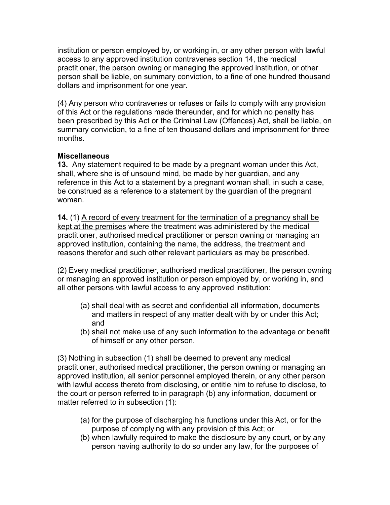institution or person employed by, or working in, or any other person with lawful access to any approved institution contravenes section 14, the medical practitioner, the person owning or managing the approved institution, or other person shall be liable, on summary conviction, to a fine of one hundred thousand dollars and imprisonment for one year.

(4) Any person who contravenes or refuses or fails to comply with any provision of this Act or the regulations made thereunder, and for which no penalty has been prescribed by this Act or the Criminal Law (Offences) Act, shall be liable, on summary conviction, to a fine of ten thousand dollars and imprisonment for three months.

#### **Miscellaneous**

**13.** Any statement required to be made by a pregnant woman under this Act, shall, where she is of unsound mind, be made by her guardian, and any reference in this Act to a statement by a pregnant woman shall, in such a case, be construed as a reference to a statement by the guardian of the pregnant woman.

**14.** (1) A record of every treatment for the termination of a pregnancy shall be kept at the premises where the treatment was administered by the medical practitioner, authorised medical practitioner or person owning or managing an approved institution, containing the name, the address, the treatment and reasons therefor and such other relevant particulars as may be prescribed.

(2) Every medical practitioner, authorised medical practitioner, the person owning or managing an approved institution or person employed by, or working in, and all other persons with lawful access to any approved institution:

- (a) shall deal with as secret and confidential all information, documents and matters in respect of any matter dealt with by or under this Act; and
- (b) shall not make use of any such information to the advantage or benefit of himself or any other person.

(3) Nothing in subsection (1) shall be deemed to prevent any medical practitioner, authorised medical practitioner, the person owning or managing an approved institution, all senior personnel employed therein, or any other person with lawful access thereto from disclosing, or entitle him to refuse to disclose, to the court or person referred to in paragraph (b) any information, document or matter referred to in subsection (1):

- (a) for the purpose of discharging his functions under this Act, or for the purpose of complying with any provision of this Act; or
- (b) when lawfully required to make the disclosure by any court, or by any person having authority to do so under any law, for the purposes of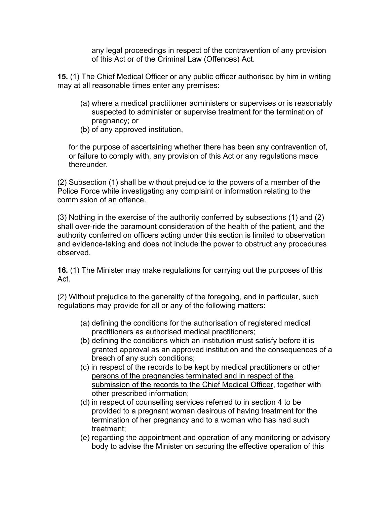any legal proceedings in respect of the contravention of any provision of this Act or of the Criminal Law (Offences) Act.

**15.** (1) The Chief Medical Officer or any public officer authorised by him in writing may at all reasonable times enter any premises:

- (a) where a medical practitioner administers or supervises or is reasonably suspected to administer or supervise treatment for the termination of pregnancy; or
- (b) of any approved institution,

for the purpose of ascertaining whether there has been any contravention of, or failure to comply with, any provision of this Act or any regulations made thereunder.

(2) Subsection (1) shall be without prejudice to the powers of a member of the Police Force while investigating any complaint or information relating to the commission of an offence.

(3) Nothing in the exercise of the authority conferred by subsections (1) and (2) shall over-ride the paramount consideration of the health of the patient, and the authority conferred on officers acting under this section is limited to observation and evidence-taking and does not include the power to obstruct any procedures observed.

**16.** (1) The Minister may make regulations for carrying out the purposes of this Act.

(2) Without prejudice to the generality of the foregoing, and in particular, such regulations may provide for all or any of the following matters:

- (a) defining the conditions for the authorisation of registered medical practitioners as authorised medical practitioners;
- (b) defining the conditions which an institution must satisfy before it is granted approval as an approved institution and the consequences of a breach of any such conditions;
- (c) in respect of the records to be kept by medical practitioners or other persons of the pregnancies terminated and in respect of the submission of the records to the Chief Medical Officer, together with other prescribed information;
- (d) in respect of counselling services referred to in section 4 to be provided to a pregnant woman desirous of having treatment for the termination of her pregnancy and to a woman who has had such treatment;
- (e) regarding the appointment and operation of any monitoring or advisory body to advise the Minister on securing the effective operation of this